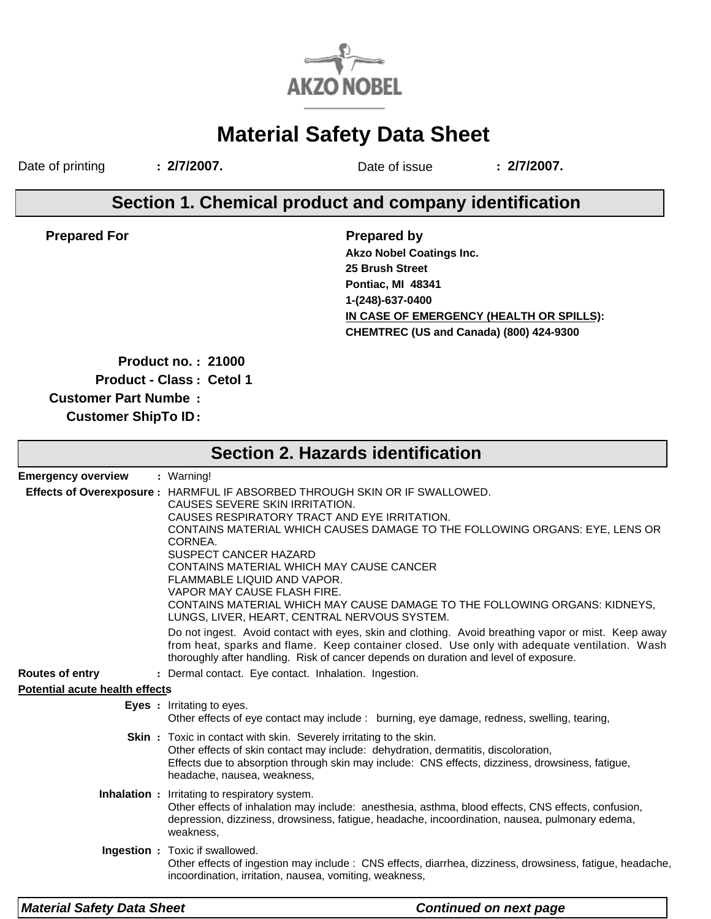

# **Material Safety Data Sheet**

Date of printing **: 2/7/2007.** Date of issue **: 2/7/2007.**

## **Section 1. Chemical product and company identification**

**Prepared For**

**Prepared by IN CASE OF EMERGENCY (HEALTH OR SPILLS): Akzo Nobel Coatings Inc. CHEMTREC (US and Canada) (800) 424-9300 25 Brush Street Pontiac, MI 48341 1-(248)-637-0400**

**Product no. : 21000**

**Product - Class : Cetol 1**

**Customer Part Numbe :**

**Customer ShipTo ID:**

| <b>Section 2. Hazards identification</b> |                                                                                                                                                                                                                                                                                                                                                                                                                                                                                                                                 |  |  |  |  |
|------------------------------------------|---------------------------------------------------------------------------------------------------------------------------------------------------------------------------------------------------------------------------------------------------------------------------------------------------------------------------------------------------------------------------------------------------------------------------------------------------------------------------------------------------------------------------------|--|--|--|--|
| <b>Emergency overview</b>                | : Warning!                                                                                                                                                                                                                                                                                                                                                                                                                                                                                                                      |  |  |  |  |
|                                          | Effects of Overexposure : HARMFUL IF ABSORBED THROUGH SKIN OR IF SWALLOWED.<br>CAUSES SEVERE SKIN IRRITATION.<br>CAUSES RESPIRATORY TRACT AND EYE IRRITATION.<br>CONTAINS MATERIAL WHICH CAUSES DAMAGE TO THE FOLLOWING ORGANS: EYE, LENS OR<br>CORNEA.<br><b>SUSPECT CANCER HAZARD</b><br>CONTAINS MATERIAL WHICH MAY CAUSE CANCER<br>FLAMMABLE LIQUID AND VAPOR.<br>VAPOR MAY CAUSE FLASH FIRE.<br>CONTAINS MATERIAL WHICH MAY CAUSE DAMAGE TO THE FOLLOWING ORGANS: KIDNEYS,<br>LUNGS, LIVER, HEART, CENTRAL NERVOUS SYSTEM. |  |  |  |  |
|                                          | Do not ingest. Avoid contact with eyes, skin and clothing. Avoid breathing vapor or mist. Keep away<br>from heat, sparks and flame. Keep container closed. Use only with adequate ventilation. Wash<br>thoroughly after handling. Risk of cancer depends on duration and level of exposure.                                                                                                                                                                                                                                     |  |  |  |  |
| <b>Routes of entry</b>                   | : Dermal contact. Eye contact. Inhalation. Ingestion.                                                                                                                                                                                                                                                                                                                                                                                                                                                                           |  |  |  |  |
| <b>Potential acute health effects</b>    |                                                                                                                                                                                                                                                                                                                                                                                                                                                                                                                                 |  |  |  |  |
|                                          | <b>Eyes</b> : Irritating to eyes.<br>Other effects of eye contact may include : burning, eye damage, redness, swelling, tearing,                                                                                                                                                                                                                                                                                                                                                                                                |  |  |  |  |
|                                          | <b>Skin</b> : Toxic in contact with skin. Severely irritating to the skin.<br>Other effects of skin contact may include: dehydration, dermatitis, discoloration,<br>Effects due to absorption through skin may include: CNS effects, dizziness, drowsiness, fatigue,<br>headache, nausea, weakness,                                                                                                                                                                                                                             |  |  |  |  |
|                                          | <b>Inhalation :</b> Irritating to respiratory system.<br>Other effects of inhalation may include: anesthesia, asthma, blood effects, CNS effects, confusion,<br>depression, dizziness, drowsiness, fatigue, headache, incoordination, nausea, pulmonary edema,<br>weakness,                                                                                                                                                                                                                                                     |  |  |  |  |
|                                          | Ingestion : Toxic if swallowed.<br>Other effects of ingestion may include : CNS effects, diarrhea, dizziness, drowsiness, fatigue, headache,<br>incoordination, irritation, nausea, vomiting, weakness,                                                                                                                                                                                                                                                                                                                         |  |  |  |  |
| <b>Material Safety Data Sheet</b>        | <b>Continued on next page</b>                                                                                                                                                                                                                                                                                                                                                                                                                                                                                                   |  |  |  |  |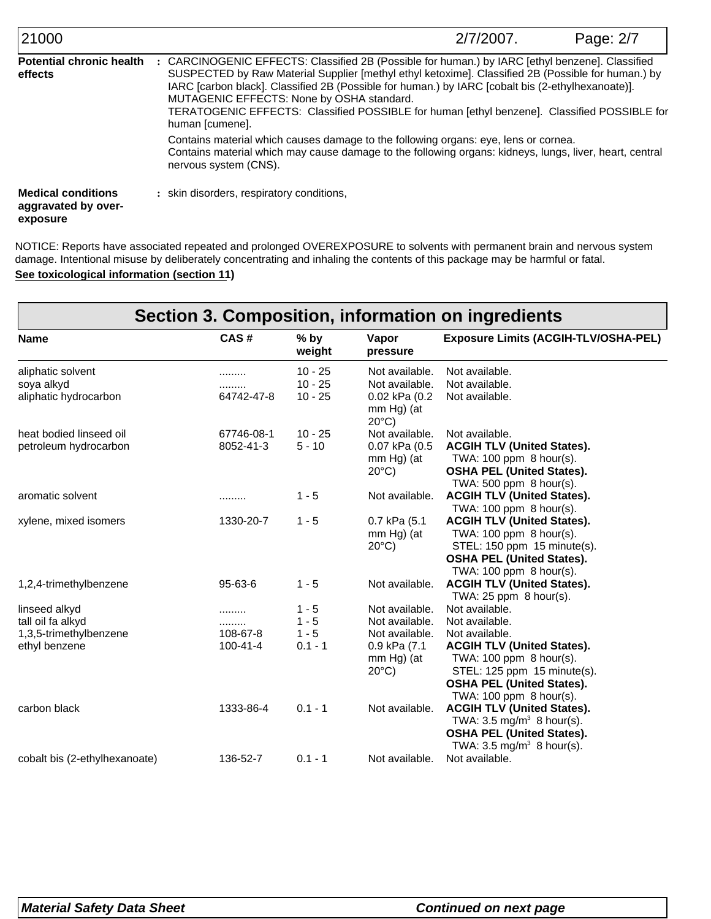| 21000                                                        | 2/7/2007.                                                                                                                                                                                                                                                                                                                                                                                                                                                                 | Page: 2/7 |  |  |  |
|--------------------------------------------------------------|---------------------------------------------------------------------------------------------------------------------------------------------------------------------------------------------------------------------------------------------------------------------------------------------------------------------------------------------------------------------------------------------------------------------------------------------------------------------------|-----------|--|--|--|
| <b>Potential chronic health</b><br>effects                   | : CARCINOGENIC EFFECTS: Classified 2B (Possible for human.) by IARC [ethyl benzene]. Classified<br>SUSPECTED by Raw Material Supplier [methyl ethyl ketoxime]. Classified 2B (Possible for human.) by<br>IARC [carbon black]. Classified 2B (Possible for human.) by IARC [cobalt bis (2-ethylhexanoate)].<br>MUTAGENIC EFFECTS: None by OSHA standard.<br>TERATOGENIC EFFECTS: Classified POSSIBLE for human [ethyl benzene]. Classified POSSIBLE for<br>human [cumene]. |           |  |  |  |
|                                                              | Contains material which causes damage to the following organs: eye, lens or cornea.<br>Contains material which may cause damage to the following organs: kidneys, lungs, liver, heart, central<br>nervous system (CNS).                                                                                                                                                                                                                                                   |           |  |  |  |
| <b>Medical conditions</b><br>aggravated by over-<br>exposure | : skin disorders, respiratory conditions,                                                                                                                                                                                                                                                                                                                                                                                                                                 |           |  |  |  |

**See toxicological information (section 11)** NOTICE: Reports have associated repeated and prolonged OVEREXPOSURE to solvents with permanent brain and nervous system damage. Intentional misuse by deliberately concentrating and inhaling the contents of this package may be harmful or fatal.

| Section 3. Composition, information on ingredients |                |                  |                                                     |                                                              |  |  |
|----------------------------------------------------|----------------|------------------|-----------------------------------------------------|--------------------------------------------------------------|--|--|
| <b>Name</b>                                        | CAS#           | $%$ by<br>weight | Vapor<br>pressure                                   | <b>Exposure Limits (ACGIH-TLV/OSHA-PEL)</b>                  |  |  |
| aliphatic solvent                                  | .              | $10 - 25$        | Not available.                                      | Not available.                                               |  |  |
| soya alkyd                                         |                | $10 - 25$        | Not available.                                      | Not available.                                               |  |  |
| aliphatic hydrocarbon                              | 64742-47-8     | $10 - 25$        | $0.02$ kPa $(0.2)$<br>mm Hg) (at<br>$20^{\circ}$ C) | Not available.                                               |  |  |
| heat bodied linseed oil                            | 67746-08-1     | $10 - 25$        | Not available.                                      | Not available.                                               |  |  |
| petroleum hydrocarbon                              | 8052-41-3      | $5 - 10$         | $0.07$ kPa $(0.5)$                                  | <b>ACGIH TLV (United States).</b>                            |  |  |
|                                                    |                |                  | mm Hg) (at                                          | TWA: 100 ppm 8 hour(s).                                      |  |  |
|                                                    |                |                  | $20^{\circ}$ C)                                     | <b>OSHA PEL (United States).</b>                             |  |  |
|                                                    |                |                  |                                                     | TWA: 500 ppm 8 hour(s).                                      |  |  |
| aromatic solvent                                   | .              | $1 - 5$          | Not available.                                      | <b>ACGIH TLV (United States).</b>                            |  |  |
|                                                    |                |                  |                                                     | TWA: 100 ppm 8 hour(s).                                      |  |  |
| xylene, mixed isomers                              | 1330-20-7      | $1 - 5$          | 0.7 kPa (5.1                                        | <b>ACGIH TLV (United States).</b>                            |  |  |
|                                                    |                |                  | mm Hg) (at                                          | TWA: 100 ppm 8 hour(s).                                      |  |  |
|                                                    |                |                  | $20^{\circ}$ C)                                     | STEL: 150 ppm 15 minute(s).                                  |  |  |
|                                                    |                |                  |                                                     | <b>OSHA PEL (United States).</b>                             |  |  |
|                                                    | $95 - 63 - 6$  | $1 - 5$          | Not available.                                      | TWA: 100 ppm 8 hour(s).<br><b>ACGIH TLV (United States).</b> |  |  |
| 1,2,4-trimethylbenzene                             |                |                  |                                                     | TWA: $25$ ppm $8$ hour(s).                                   |  |  |
| linseed alkyd                                      | .              | $1 - 5$          | Not available.                                      | Not available.                                               |  |  |
| tall oil fa alkyd                                  |                | $1 - 5$          | Not available.                                      | Not available.                                               |  |  |
| 1,3,5-trimethylbenzene                             | 108-67-8       | $1 - 5$          | Not available.                                      | Not available.                                               |  |  |
| ethyl benzene                                      | $100 - 41 - 4$ | $0.1 - 1$        | $0.9$ kPa $(7.1)$                                   | <b>ACGIH TLV (United States).</b>                            |  |  |
|                                                    |                |                  | $mm Hg$ ) (at                                       | TWA: 100 ppm 8 hour(s).                                      |  |  |
|                                                    |                |                  | $20^{\circ}$ C)                                     | STEL: 125 ppm 15 minute(s).                                  |  |  |
|                                                    |                |                  |                                                     | <b>OSHA PEL (United States).</b>                             |  |  |
|                                                    |                |                  |                                                     | TWA: 100 ppm 8 hour(s).                                      |  |  |
| carbon black                                       | 1333-86-4      | $0.1 - 1$        | Not available.                                      | <b>ACGIH TLV (United States).</b>                            |  |  |
|                                                    |                |                  |                                                     | TWA: $3.5 \text{ mg/m}^3$ 8 hour(s).                         |  |  |
|                                                    |                |                  |                                                     | <b>OSHA PEL (United States).</b>                             |  |  |
|                                                    |                |                  |                                                     | TWA: 3.5 mg/m <sup>3</sup> 8 hour(s).<br>Not available.      |  |  |
| cobalt bis (2-ethylhexanoate)                      | 136-52-7       | $0.1 - 1$        | Not available.                                      |                                                              |  |  |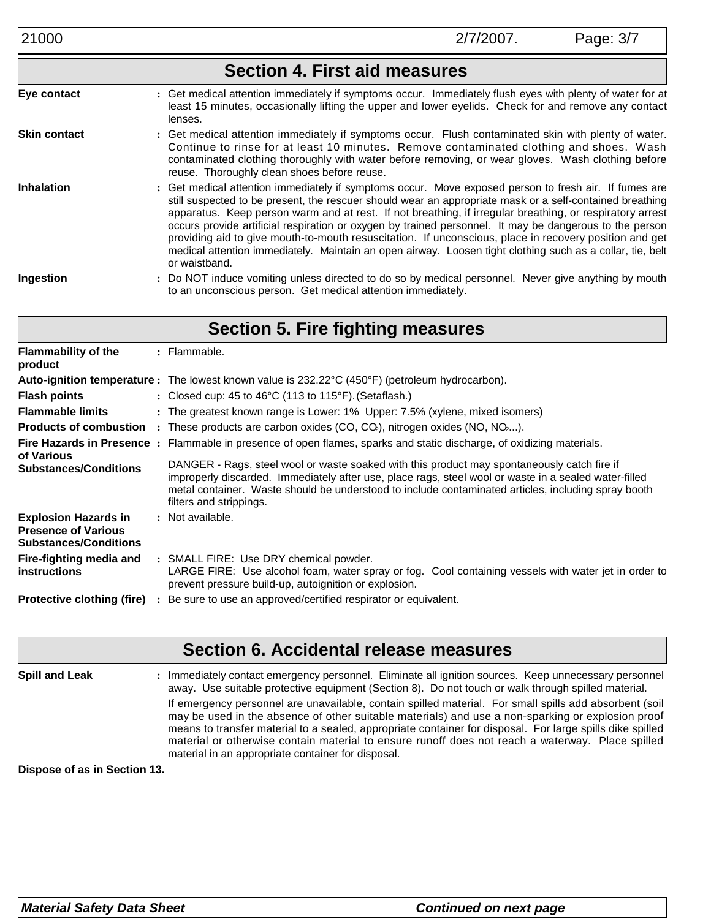|                     | <b>Section 4. First aid measures</b>                                                                                                                                                                                                                                                                                                                                                                                                                                                                                                                                                                                                                                             |
|---------------------|----------------------------------------------------------------------------------------------------------------------------------------------------------------------------------------------------------------------------------------------------------------------------------------------------------------------------------------------------------------------------------------------------------------------------------------------------------------------------------------------------------------------------------------------------------------------------------------------------------------------------------------------------------------------------------|
| Eye contact         | : Get medical attention immediately if symptoms occur. Immediately flush eyes with plenty of water for at<br>least 15 minutes, occasionally lifting the upper and lower eyelids. Check for and remove any contact<br>lenses.                                                                                                                                                                                                                                                                                                                                                                                                                                                     |
| <b>Skin contact</b> | : Get medical attention immediately if symptoms occur. Flush contaminated skin with plenty of water.<br>Continue to rinse for at least 10 minutes. Remove contaminated clothing and shoes. Wash<br>contaminated clothing thoroughly with water before removing, or wear gloves. Wash clothing before<br>reuse. Thoroughly clean shoes before reuse.                                                                                                                                                                                                                                                                                                                              |
| <b>Inhalation</b>   | : Get medical attention immediately if symptoms occur. Move exposed person to fresh air. If fumes are<br>still suspected to be present, the rescuer should wear an appropriate mask or a self-contained breathing<br>apparatus. Keep person warm and at rest. If not breathing, if irregular breathing, or respiratory arrest<br>occurs provide artificial respiration or oxygen by trained personnel. It may be dangerous to the person<br>providing aid to give mouth-to-mouth resuscitation. If unconscious, place in recovery position and get<br>medical attention immediately. Maintain an open airway. Loosen tight clothing such as a collar, tie, belt<br>or waistband. |
| Ingestion           | : Do NOT induce vomiting unless directed to do so by medical personnel. Never give anything by mouth<br>to an unconscious person. Get medical attention immediately.                                                                                                                                                                                                                                                                                                                                                                                                                                                                                                             |

| <b>Section 5. Fire fighting measures</b>                                                                                                                                                                                                                                                                                                                               |                                                                                                                                                                                                            |  |  |  |  |
|------------------------------------------------------------------------------------------------------------------------------------------------------------------------------------------------------------------------------------------------------------------------------------------------------------------------------------------------------------------------|------------------------------------------------------------------------------------------------------------------------------------------------------------------------------------------------------------|--|--|--|--|
| <b>Flammability of the</b><br>product                                                                                                                                                                                                                                                                                                                                  | $:$ Flammable.                                                                                                                                                                                             |  |  |  |  |
|                                                                                                                                                                                                                                                                                                                                                                        | Auto-ignition temperature : The lowest known value is 232.22°C (450°F) (petroleum hydrocarbon).                                                                                                            |  |  |  |  |
| <b>Flash points</b>                                                                                                                                                                                                                                                                                                                                                    | : Closed cup: 45 to 46 $\degree$ C (113 to 115 $\degree$ F). (Setaflash.)                                                                                                                                  |  |  |  |  |
| <b>Flammable limits</b>                                                                                                                                                                                                                                                                                                                                                | : The greatest known range is Lower: 1% Upper: 7.5% (xylene, mixed isomers)                                                                                                                                |  |  |  |  |
|                                                                                                                                                                                                                                                                                                                                                                        | <b>Products of combustion</b> : These products are carbon oxides $(CO, CO2)$ , nitrogen oxides $(NO, NO2).$                                                                                                |  |  |  |  |
| of Various                                                                                                                                                                                                                                                                                                                                                             | Fire Hazards in Presence : Flammable in presence of open flames, sparks and static discharge, of oxidizing materials.                                                                                      |  |  |  |  |
| DANGER - Rags, steel wool or waste soaked with this product may spontaneously catch fire if<br><b>Substances/Conditions</b><br>improperly discarded. Immediately after use, place rags, steel wool or waste in a sealed water-filled<br>metal container. Waste should be understood to include contaminated articles, including spray booth<br>filters and strippings. |                                                                                                                                                                                                            |  |  |  |  |
| <b>Explosion Hazards in</b><br><b>Presence of Various</b><br><b>Substances/Conditions</b>                                                                                                                                                                                                                                                                              | : Not available.                                                                                                                                                                                           |  |  |  |  |
| Fire-fighting media and<br><b>instructions</b>                                                                                                                                                                                                                                                                                                                         | : SMALL FIRE: Use DRY chemical powder.<br>LARGE FIRE: Use alcohol foam, water spray or fog.<br>Cool containing vessels with water jet in order to<br>prevent pressure build-up, autoignition or explosion. |  |  |  |  |
| <b>Protective clothing (fire)</b>                                                                                                                                                                                                                                                                                                                                      | Be sure to use an approved/certified respirator or equivalent.                                                                                                                                             |  |  |  |  |

## **Section 6. Accidental release measures**

**Spill and Leak :** : Immediately contact emergency personnel. Eliminate all ignition sources. Keep unnecessary personnel away. Use suitable protective equipment (Section 8). Do not touch or walk through spilled material. If emergency personnel are unavailable, contain spilled material. For small spills add absorbent (soil may be used in the absence of other suitable materials) and use a non-sparking or explosion proof means to transfer material to a sealed, appropriate container for disposal. For large spills dike spilled material or otherwise contain material to ensure runoff does not reach a waterway. Place spilled material in an appropriate container for disposal.

**Dispose of as in Section 13.**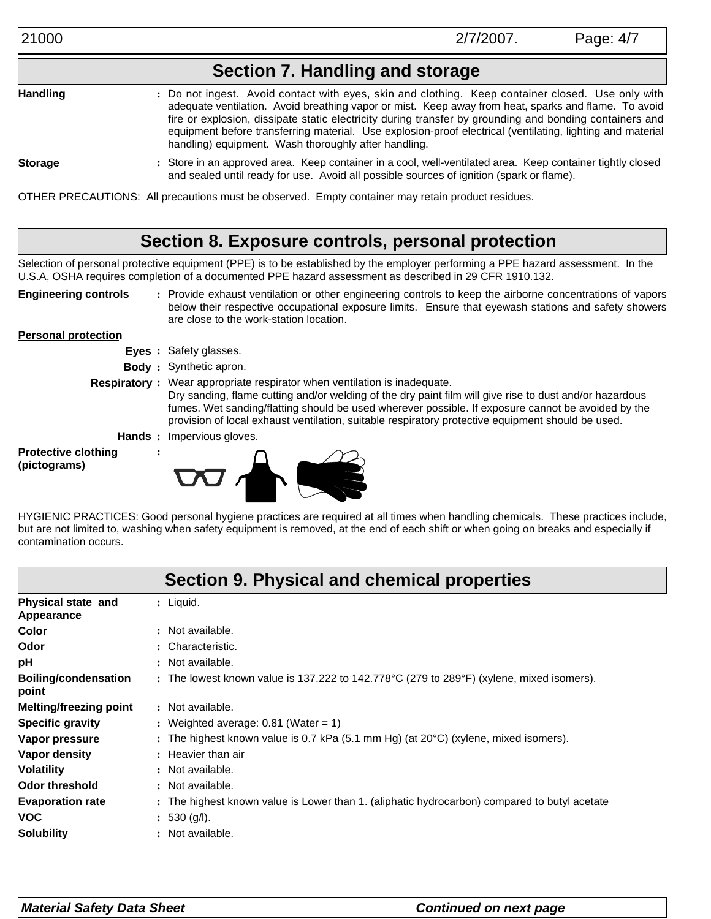## **Section 7. Handling and storage**

**Handling :** Do not ingest. Avoid contact with eyes, skin and clothing. Keep container closed. Use only with adequate ventilation. Avoid breathing vapor or mist. Keep away from heat, sparks and flame. To avoid fire or explosion, dissipate static electricity during transfer by grounding and bonding containers and equipment before transferring material. Use explosion-proof electrical (ventilating, lighting and material handling) equipment. Wash thoroughly after handling.

**Storage :**

Store in an approved area. Keep container in a cool, well-ventilated area. Keep container tightly closed and sealed until ready for use. Avoid all possible sources of ignition (spark or flame).

OTHER PRECAUTIONS: All precautions must be observed. Empty container may retain product residues.

## **Section 8. Exposure controls, personal protection**

Selection of personal protective equipment (PPE) is to be established by the employer performing a PPE hazard assessment. In the U.S.A, OSHA requires completion of a documented PPE hazard assessment as described in 29 CFR 1910.132.

**Engineering controls**

Provide exhaust ventilation or other engineering controls to keep the airborne concentrations of vapors **:** below their respective occupational exposure limits. Ensure that eyewash stations and safety showers are close to the work-station location.

#### **Personal protection**

- **Eyes :** Safety glasses.
- **Body :** Synthetic apron.
- 
- **Respiratory :** Wear appropriate respirator when ventilation is inadequate. Dry sanding, flame cutting and/or welding of the dry paint film will give rise to dust and/or hazardous fumes. Wet sanding/flatting should be used wherever possible. If exposure cannot be avoided by the provision of local exhaust ventilation, suitable respiratory protective equipment should be used.
	- **Hands :** Impervious gloves.

**:**

**Protective clothing (pictograms)**



HYGIENIC PRACTICES: Good personal hygiene practices are required at all times when handling chemicals. These practices include, but are not limited to, washing when safety equipment is removed, at the end of each shift or when going on breaks and especially if contamination occurs.

|                                      | Section 9. Physical and chemical properties                                                   |
|--------------------------------------|-----------------------------------------------------------------------------------------------|
| Physical state and<br>Appearance     | $:$ Liquid.                                                                                   |
| Color                                | : Not available.                                                                              |
| Odor                                 | : Characteristic.                                                                             |
| рH                                   | : Not available.                                                                              |
| <b>Boiling/condensation</b><br>point | : The lowest known value is 137.222 to 142.778°C (279 to 289°F) (xylene, mixed isomers).      |
| <b>Melting/freezing point</b>        | : Not available.                                                                              |
| <b>Specific gravity</b>              | : Weighted average: 0.81 (Water = 1)                                                          |
| Vapor pressure                       | : The highest known value is 0.7 kPa (5.1 mm Hg) (at $20^{\circ}$ C) (xylene, mixed isomers). |
| Vapor density                        | : Heavier than air                                                                            |
| <b>Volatility</b>                    | : Not available.                                                                              |
| <b>Odor threshold</b>                | : Not available.                                                                              |
| <b>Evaporation rate</b>              | : The highest known value is Lower than 1. (aliphatic hydrocarbon) compared to butyl acetate  |
| <b>VOC</b>                           | : 530 (q/l).                                                                                  |
| <b>Solubility</b>                    | : Not available.                                                                              |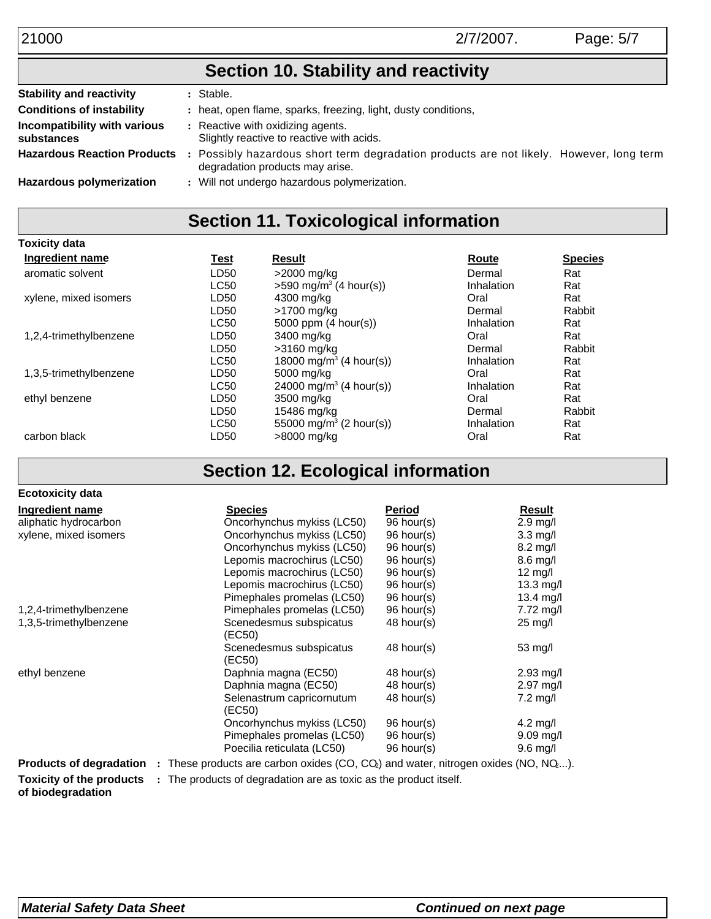21000 2/7/2007. Page: 5/7

## **Section 10. Stability and reactivity**

| <b>Stability and reactivity</b>                                                                                              |  | : Stable.                                                                                                                |
|------------------------------------------------------------------------------------------------------------------------------|--|--------------------------------------------------------------------------------------------------------------------------|
| <b>Conditions of instability</b>                                                                                             |  | : heat, open flame, sparks, freezing, light, dusty conditions,                                                           |
| Incompatibility with various<br>: Reactive with oxidizing agents.<br>Slightly reactive to reactive with acids.<br>substances |  |                                                                                                                          |
| <b>Hazardous Reaction Products</b>                                                                                           |  | Possibly hazardous short term degradation products are not likely. However, long term<br>degradation products may arise. |
| <b>Hazardous polymerization</b>                                                                                              |  | : Will not undergo hazardous polymerization.                                                                             |

## **Section 11. Toxicological information**

| <b>Toxicity data</b>   |                  |                                      |            |                |
|------------------------|------------------|--------------------------------------|------------|----------------|
| Ingredient name        | Test             | Result                               | Route      | <b>Species</b> |
| aromatic solvent       | LD50             | >2000 mg/kg                          | Dermal     | Rat            |
|                        | <b>LC50</b>      | $>590$ mg/m <sup>3</sup> (4 hour(s)) | Inhalation | Rat            |
| xylene, mixed isomers  | LD50             | 4300 mg/kg                           | Oral       | Rat            |
|                        | LD <sub>50</sub> | >1700 mg/kg                          | Dermal     | Rabbit         |
|                        | <b>LC50</b>      | 5000 ppm $(4 \text{ hour(s)})$       | Inhalation | Rat            |
| 1,2,4-trimethylbenzene | LD50             | 3400 mg/kg                           | Oral       | Rat            |
|                        | LD50             | $>3160$ mg/kg                        | Dermal     | Rabbit         |
|                        | <b>LC50</b>      | 18000 mg/m <sup>3</sup> (4 hour(s))  | Inhalation | Rat            |
| 1,3,5-trimethylbenzene | LD50             | 5000 mg/kg                           | Oral       | Rat            |
|                        | <b>LC50</b>      | 24000 mg/m <sup>3</sup> (4 hour(s))  | Inhalation | Rat            |
| ethyl benzene          | LD50             | 3500 mg/kg                           | Oral       | Rat            |
|                        | LD <sub>50</sub> | 15486 mg/kg                          | Dermal     | Rabbit         |
|                        | <b>LC50</b>      | 55000 mg/m <sup>3</sup> (2 hour(s))  | Inhalation | Rat            |
| carbon black           | LD50             | >8000 ma/ka                          | Oral       | Rat            |

# **Section 12. Ecological information**

| <b>Ecotoxicity data</b>                                                                                         |                                                                                                                                                                                                                                |               |                        |
|-----------------------------------------------------------------------------------------------------------------|--------------------------------------------------------------------------------------------------------------------------------------------------------------------------------------------------------------------------------|---------------|------------------------|
| Ingredient name                                                                                                 | <b>Species</b>                                                                                                                                                                                                                 | <u>Period</u> | Result                 |
| aliphatic hydrocarbon                                                                                           | Oncorhynchus mykiss (LC50)                                                                                                                                                                                                     | 96 hour(s)    | $2.9$ mg/l             |
| xylene, mixed isomers                                                                                           | Oncorhynchus mykiss (LC50)                                                                                                                                                                                                     | 96 hour(s)    | $3.3 \text{ mg/l}$     |
|                                                                                                                 | Oncorhynchus mykiss (LC50)                                                                                                                                                                                                     | 96 hour(s)    | $8.2$ mg/l             |
|                                                                                                                 | Lepomis macrochirus (LC50)                                                                                                                                                                                                     | 96 hour(s)    | $8.6$ mg/l             |
|                                                                                                                 | Lepomis macrochirus (LC50)                                                                                                                                                                                                     | 96 hour(s)    | $12 \text{ mg/l}$      |
|                                                                                                                 | Lepomis macrochirus (LC50)                                                                                                                                                                                                     | 96 hour(s)    | 13.3 mg/l              |
|                                                                                                                 | Pimephales promelas (LC50)                                                                                                                                                                                                     | 96 hour(s)    | 13.4 mg/l              |
| 1,2,4-trimethylbenzene                                                                                          | Pimephales promelas (LC50)                                                                                                                                                                                                     | 96 hour(s)    | $7.72 \text{ mg/l}$    |
| 1,3,5-trimethylbenzene                                                                                          | Scenedesmus subspicatus<br>(EC50)                                                                                                                                                                                              | 48 hour(s)    | $25 \text{ mg/l}$      |
|                                                                                                                 | Scenedesmus subspicatus<br>(EC50)                                                                                                                                                                                              | 48 hour(s)    | 53 mg/l                |
| ethyl benzene                                                                                                   | Daphnia magna (EC50)                                                                                                                                                                                                           | 48 hour(s)    | $2.93$ mg/l            |
|                                                                                                                 | Daphnia magna (EC50)                                                                                                                                                                                                           | $48$ hour(s)  | $2.97$ mg/l            |
|                                                                                                                 | Selenastrum capricornutum<br>(EC50)                                                                                                                                                                                            | $48$ hour(s)  | 7.2 mg/l               |
|                                                                                                                 | Oncorhynchus mykiss (LC50)                                                                                                                                                                                                     | 96 hour(s)    | $4.2 \text{ mg/l}$     |
|                                                                                                                 | Pimephales promelas (LC50)                                                                                                                                                                                                     | 96 hour(s)    | $9.09 \,\mathrm{mg/l}$ |
|                                                                                                                 | Poecilia reticulata (LC50)                                                                                                                                                                                                     | 96 hour(s)    | $9.6$ mg/l             |
| <b>Products of degradation</b> : These products are carbon oxides (CO, CQ) and water, nitrogen oxides (NO, NQ). | 그는 그 사람들은 어떻게 되었다. 그는 그 사람들은 그 사람들은 그 사람들은 그 사람들을 지르며 그 사람들을 지르며 그 사람들을 지르며 그 사람들을 지르며 그 사람들을 지르며 그 사람들을 지르며 그 사람들을 지르며 그 사람들을 지르며 그 사람들을 지르며 그 사람들을 지르며 그 사람들을 지르며 그 사람들을 지르며 그 사람들을 지르며 그 사람들을 지르며 그 사람들을 지르며 그 사람들을 지르며 그 사 |               |                        |

**Toxicity of the products** : The products of degradation are as toxic as the product itself. **of biodegradation**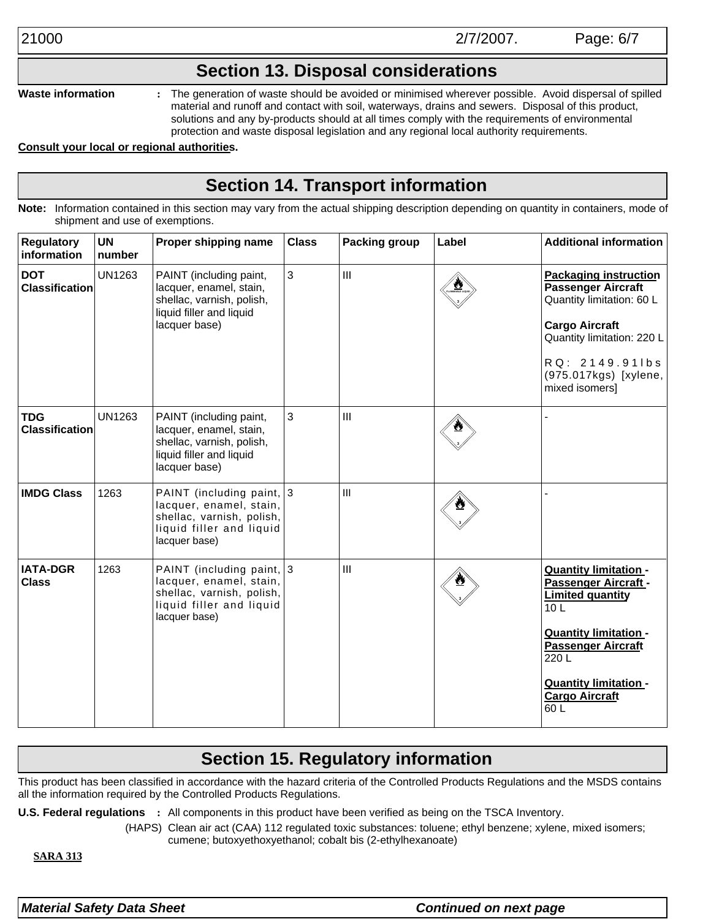### **Section 13. Disposal considerations**

**Waste information**

**:** The generation of waste should be avoided or minimised wherever possible. Avoid dispersal of spilled material and runoff and contact with soil, waterways, drains and sewers. Disposal of this product, solutions and any by-products should at all times comply with the requirements of environmental protection and waste disposal legislation and any regional local authority requirements.

#### **Consult your local or regional authorities.**

## **Section 14. Transport information**

**Note:** Information contained in this section may vary from the actual shipping description depending on quantity in containers, mode of shipment and use of exemptions.

| <b>Regulatory</b><br>information    | <b>UN</b><br>number | Proper shipping name                                                                                                           | <b>Class</b> | <b>Packing group</b> | Label | <b>Additional information</b>                                                                                                                                                                                                            |
|-------------------------------------|---------------------|--------------------------------------------------------------------------------------------------------------------------------|--------------|----------------------|-------|------------------------------------------------------------------------------------------------------------------------------------------------------------------------------------------------------------------------------------------|
| <b>DOT</b><br><b>Classification</b> | <b>UN1263</b>       | PAINT (including paint,<br>lacquer, enamel, stain,<br>shellac, varnish, polish,<br>liquid filler and liquid<br>lacquer base)   | 3            | $\mathbf{III}$       |       | <b>Packaging instruction</b><br>Passenger Aircraft<br>Quantity limitation: 60 L<br><b>Cargo Aircraft</b><br>Quantity limitation: 220 L<br>RQ: 2149.91lbs<br>(975.017kgs) [xylene,<br>mixed isomers]                                      |
| <b>TDG</b><br><b>Classification</b> | <b>UN1263</b>       | PAINT (including paint,<br>lacquer, enamel, stain,<br>shellac, varnish, polish,<br>liquid filler and liquid<br>lacquer base)   | 3            | III                  |       |                                                                                                                                                                                                                                          |
| <b>IMDG Class</b>                   | 1263                | PAINT (including paint, 3<br>lacquer, enamel, stain,<br>shellac, varnish, polish,<br>liquid filler and liquid<br>lacquer base) |              | $\mathbf{III}$       |       |                                                                                                                                                                                                                                          |
| <b>IATA-DGR</b><br><b>Class</b>     | 1263                | PAINT (including paint, 3<br>lacquer, enamel, stain,<br>shellac, varnish, polish,<br>liquid filler and liquid<br>lacquer base) |              | III                  |       | <b>Quantity limitation -</b><br>Passenger Aircraft -<br><b>Limited quantity</b><br>10 <sub>L</sub><br><b>Quantity limitation -</b><br><b>Passenger Aircraft</b><br>220L<br><b>Quantity limitation -</b><br><b>Cargo Aircraft</b><br>60 L |

## **Section 15. Regulatory information**

This product has been classified in accordance with the hazard criteria of the Controlled Products Regulations and the MSDS contains all the information required by the Controlled Products Regulations.

**U.S. Federal regulations :** All components in this product have been verified as being on the TSCA Inventory.

(HAPS) Clean air act (CAA) 112 regulated toxic substances: toluene; ethyl benzene; xylene, mixed isomers; cumene; butoxyethoxyethanol; cobalt bis (2-ethylhexanoate)

**SARA 313**

*Material Safety Data Sheet Continued on next page*